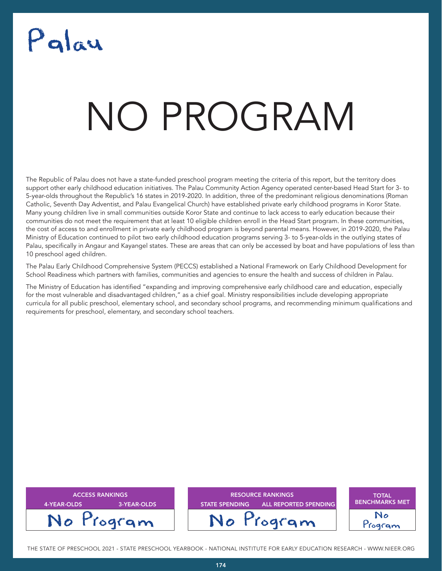## Palau

### NATA T NO PROGRAM

The Republic of Palau does not have a state-funded preschool program meeting the criteria of this report, but the territory does support other early childhood education initiatives. The Palau Community Action Agency operated center-based Head Start for 3- to 5-year-olds throughout the Republic's 16 states in 2019-2020. In addition, three of the predominant religious denominations (Roman Catholic, Seventh Day Adventist, and Palau Evangelical Church) have established private early childhood programs in Koror State. Many young children live in small communities outside Koror State and continue to lack access to early education because their communities do not meet the requirement that at least 10 eligible children enroll in the Head Start program. In these communities, the cost of access to and enrollment in private early childhood program is beyond parental means. However, in 2019-2020, the Palau Ministry of Education continued to pilot two early childhood education programs serving 3- to 5-year-olds in the outlying states of Palau, specifically in Angaur and Kayangel states. These are areas that can only be accessed by boat and have populations of less than 10 preschool aged children.

The Palau Early Childhood Comprehensive System (PECCS) established a National Framework on Early Childhood Development for School Readiness which partners with families, communities and agencies to ensure the health and success of children in Palau.

The Ministry of Education has identified "expanding and improving comprehensive early childhood care and education, especially for the most vulnerable and disadvantaged children," as a chief goal. Ministry responsibilities include developing appropriate curricula for all public preschool, elementary school, and secondary school programs, and recommending minimum qualifications and requirements for preschool, elementary, and secondary school teachers.

| <b>ACCESS RANKINGS</b><br>3-YEAR-OLDS<br>4-YEAR-OLDS | <b>RESOURCE RANKINGS</b><br><b>ALL REPORTED SPENDING</b><br><b>STATE SPENDING</b> | <b>TOTAL</b><br><b>BENCHMARKS MET</b> |
|------------------------------------------------------|-----------------------------------------------------------------------------------|---------------------------------------|
| No Program                                           | No Program                                                                        | Togram                                |

THE STATE OF PRESCHOOL 2021 - STATE PRESCHOOL YEARBOOK - NATIONAL INSTITUTE FOR EARLY EDUCATION RESEARCH - WWW.NIEER.ORG